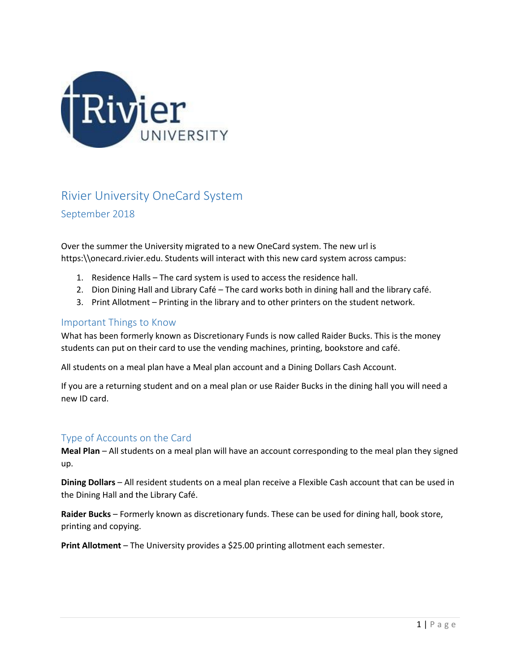

# Rivier University OneCard System

September 2018

Over the summer the University migrated to a new OneCard system. The new url is https:\\onecard.rivier.edu. Students will interact with this new card system across campus:

- 1. Residence Halls The card system is used to access the residence hall.
- 2. Dion Dining Hall and Library Café The card works both in dining hall and the library café.
- 3. Print Allotment Printing in the library and to other printers on the student network.

### Important Things to Know

What has been formerly known as Discretionary Funds is now called Raider Bucks. This is the money students can put on their card to use the vending machines, printing, bookstore and café.

All students on a meal plan have a Meal plan account and a Dining Dollars Cash Account.

If you are a returning student and on a meal plan or use Raider Bucks in the dining hall you will need a new ID card.

## Type of Accounts on the Card

**Meal Plan** – All students on a meal plan will have an account corresponding to the meal plan they signed up.

**Dining Dollars** – All resident students on a meal plan receive a Flexible Cash account that can be used in the Dining Hall and the Library Café.

**Raider Bucks** – Formerly known as discretionary funds. These can be used for dining hall, book store, printing and copying.

**Print Allotment** – The University provides a \$25.00 printing allotment each semester.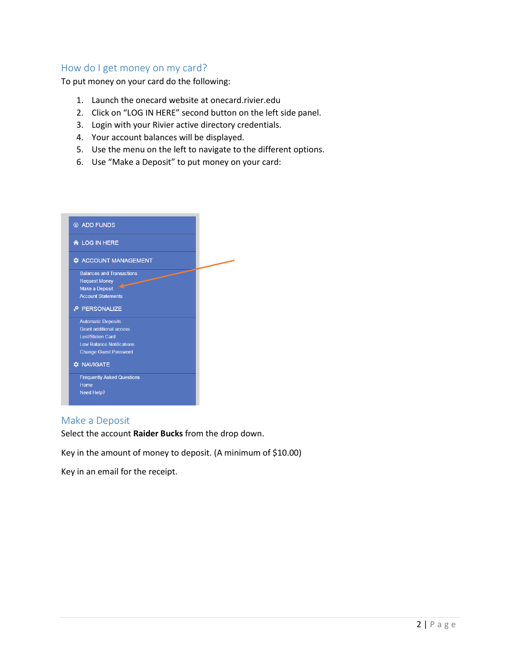## How do I get money on my card?

To put money on your card do the following:

- 1. Launch the onecard website at onecard.rivier.edu
- 2. Click on "LOG IN HERE" second button on the left side panel.
- 3. Login with your Rivier active directory credentials.
- 4. Your account balances will be displayed.
- 5. Use the menu on the left to navigate to the different options.
- 6. Use "Make a Deposit" to put money on your card:

| <b>6 ADD FUNDS</b>                |  |
|-----------------------------------|--|
| <b>A</b> LOG IN HERE              |  |
| <b>C</b> ACCOUNT MANAGEMENT       |  |
| <b>Balances and Transactions</b>  |  |
| <b>Request Money</b>              |  |
| <b>Make a Deposit</b>             |  |
| <b>Account Statements</b>         |  |
| PERSONALIZE                       |  |
| <b>Automatic Deposits</b>         |  |
| <b>Grant</b> additional access    |  |
| <b>Lost/Stolen Card</b>           |  |
| <b>Low Balance Notifications</b>  |  |
| <b>Change Guest Password</b>      |  |
| <b>C</b> NAVIGATE                 |  |
| <b>Frequently Asked Questions</b> |  |
| <b>Home</b>                       |  |
|                                   |  |

## Make a Deposit

Select the account **Raider Bucks** from the drop down.

Key in the amount of money to deposit. (A minimum of \$10.00)

Key in an email for the receipt.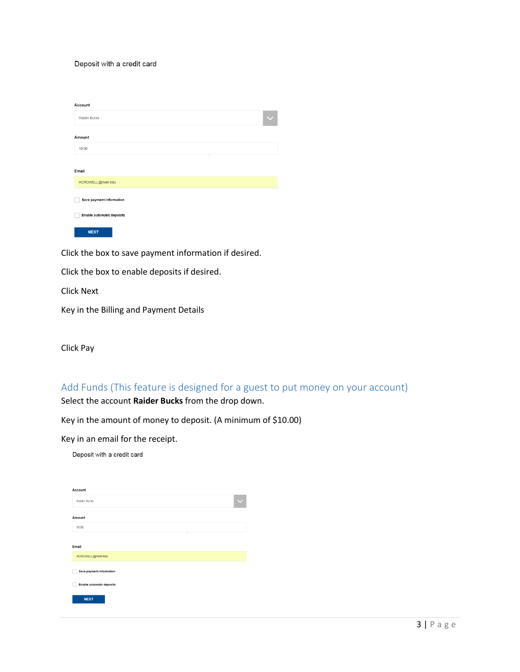#### Deposit with a credit card

| <b>Account</b>                   |  |
|----------------------------------|--|
| <b>Raider Bucks</b>              |  |
| <b>Amount</b>                    |  |
| 10.00                            |  |
| ÷                                |  |
| Email                            |  |
| HCROWELL@rivier.edu              |  |
| <b>Save payment information</b>  |  |
| <b>Enable automatic deposits</b> |  |
| <b>NEXT</b>                      |  |

Click the box to save payment information if desired.

Click the box to enable deposits if desired.

Click Next

Key in the Billing and Payment Details

Click Pay

Add Funds (This feature is designed for a guest to put money on your account) Select the account **Raider Bucks** from the drop down.

Key in the amount of money to deposit. (A minimum of \$10.00)

Key in an email for the receipt.

Deposit with a credit card

| <b>Account</b>                   |  |
|----------------------------------|--|
| Raider Bucks                     |  |
| <b>Amount</b>                    |  |
| 10.00                            |  |
|                                  |  |
| Email                            |  |
| HCROWELL@rivier.edu              |  |
| <b>Save payment information</b>  |  |
| <b>Enable automatic deposits</b> |  |
| <b>NEXT</b>                      |  |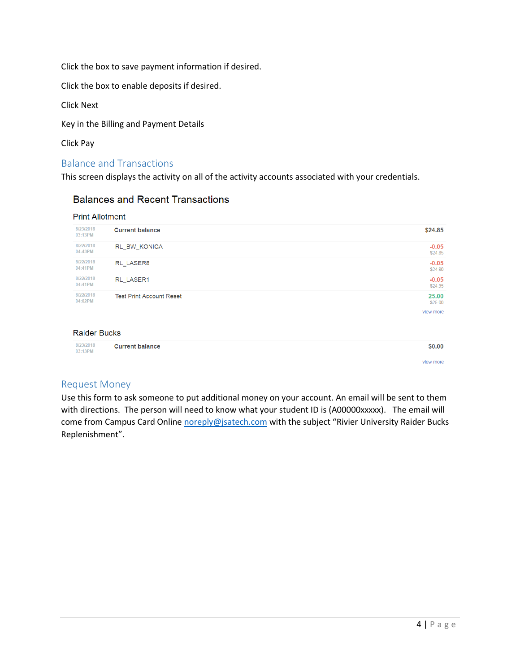Click the box to save payment information if desired.

Click the box to enable deposits if desired.

Click Next

Key in the Billing and Payment Details

Click Pay

## Balance and Transactions

This screen displays the activity on all of the activity accounts associated with your credentials.

## **Balances and Recent Transactions**

#### **Print Allotment**

| 8/23/2018<br>03:13PM | <b>Current balance</b>          | \$24.85            |
|----------------------|---------------------------------|--------------------|
| 8/22/2018<br>04:43PM | RL BW KONICA                    | $-0.05$<br>\$24.85 |
| 8/22/2018<br>04:41PM | RL LASER8                       | $-0.05$<br>\$24.90 |
| 8/22/2018<br>04:41PM | RL LASER1                       | $-0.05$<br>\$24.95 |
| 8/22/2018<br>04:02PM | <b>Test Print Account Reset</b> | 25.00<br>\$25.00   |
|                      |                                 | view more          |

### **Raider Bucks**

|  | 8/23/2018<br>03:13PM | <b>Current balance</b> | \$0.00 |
|--|----------------------|------------------------|--------|
|--|----------------------|------------------------|--------|

## Request Money

Use this form to ask someone to put additional money on your account. An email will be sent to them with directions. The person will need to know what your student ID is (A00000xxxxx). The email will come from Campus Card Online [noreply@jsatech.com](mailto:noreply@jsatech.com) with the subject "Rivier University Raider Bucks Replenishment".

view more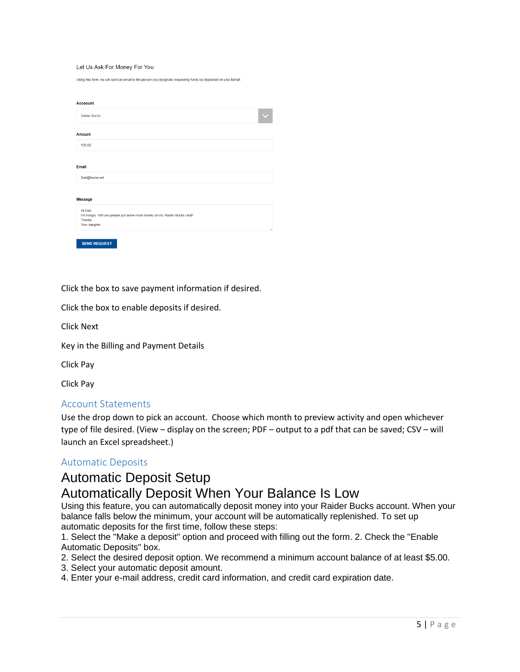#### Let Us Ask For Money For You

Using this form, we will send an email to the person you designate requesting funds be deposited on your behalf

| <b>Raider Bucks</b> |                                                                          |  |  |
|---------------------|--------------------------------------------------------------------------|--|--|
| <b>Amount</b>       |                                                                          |  |  |
| 100.00              |                                                                          |  |  |
|                     |                                                                          |  |  |
| Email               |                                                                          |  |  |
| Dad@home.net        |                                                                          |  |  |
|                     |                                                                          |  |  |
| <b>Message</b>      |                                                                          |  |  |
| HI Dad,             |                                                                          |  |  |
| Thanks,             | I'm hungry. Will you please put some more money on my Raider Bucks card? |  |  |
| Your daugher        |                                                                          |  |  |

Click the box to save payment information if desired.

Click the box to enable deposits if desired.

Click Next

Key in the Billing and Payment Details

Click Pay

Click Pay

#### Account Statements

Use the drop down to pick an account. Choose which month to preview activity and open whichever type of file desired. (View – display on the screen; PDF – output to a pdf that can be saved; CSV – will launch an Excel spreadsheet.)

#### Automatic Deposits

# Automatic Deposit Setup

## Automatically Deposit When Your Balance Is Low

Using this feature, you can automatically deposit money into your Raider Bucks account. When your balance falls below the minimum, your account will be automatically replenished. To set up automatic deposits for the first time, follow these steps:

1. Select the "Make a deposit" option and proceed with filling out the form. 2. Check the "Enable Automatic Deposits" box.

- 2. Select the desired deposit option. We recommend a minimum account balance of at least \$5.00.
- 3. Select your automatic deposit amount.
- 4. Enter your e-mail address, credit card information, and credit card expiration date.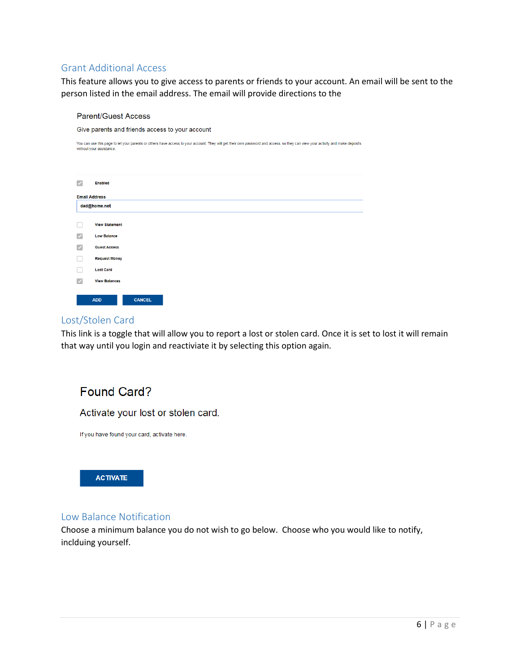## Grant Additional Access

This feature allows you to give access to parents or friends to your account. An email will be sent to the person listed in the email address. The email will provide directions to the

## **Parent/Guest Access**

Give parents and friends access to your account

You can use this page to let your parents or others have access to your account. They will get their own password and access, so they can view your activity and make deposits without your assistance

| $\overline{\checkmark}$  | Enabled               |               |
|--------------------------|-----------------------|---------------|
|                          |                       |               |
|                          | <b>Email Address</b>  |               |
|                          |                       |               |
|                          | dad@home.net          |               |
|                          |                       |               |
| L.                       | <b>View Statement</b> |               |
|                          |                       |               |
| $\overline{\mathcal{S}}$ | <b>Low Balance</b>    |               |
| $\overline{\checkmark}$  | <b>Guest Access</b>   |               |
|                          |                       |               |
|                          | <b>Request Money</b>  |               |
|                          | <b>Lost Card</b>      |               |
| u.                       |                       |               |
| $\overline{\checkmark}$  | <b>View Balances</b>  |               |
|                          |                       |               |
|                          |                       |               |
|                          | <b>ADD</b>            | <b>CANCEL</b> |

## Lost/Stolen Card

This link is a toggle that will allow you to report a lost or stolen card. Once it is set to lost it will remain that way until you login and reactiviate it by selecting this option again.

# Found Card?

Activate your lost or stolen card.

If you have found your card, activate here.



## Low Balance Notification

Choose a minimum balance you do not wish to go below. Choose who you would like to notify, inclduing yourself.